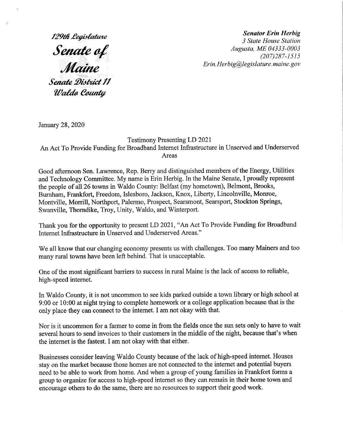#### **Senator Erin Herbig**

3 State House Station **Senate of**  $\frac{1}{207}$  Augusta, ME 04333-0003 (207)287-1515 Erin. Herbig@legislature. maine.gov

129th Legis Senate District II Waldo County

January 28, 2020

### Testimony Presenting LD 2021 An Act To Provide Funding for Broadband Internet Infrastructure in Unserved and Underserved Areas

Good afternoon Sen. Lawrence, Rep. Berry and distinguished members of the Energy, Utilities and Technology Committee. My name is Erin Herbig. In the Maine Senate, I proudly represent the people of all 26 towns in Waldo County: Belfast (my hometown), Belmont, Brooks, Burnham, Frankfort, Freedom, Islesboro, Jackson, Knox, Liberty, Lincolnville, Monroe, Montville, Morrill, Northport, Palermo, Prospect, Searsmont, Searsport, Stockton Springs, Swanville, Thorndike, Troy, Unity, Waldo, and Winterport.

Thank you for the opportunity to present LD 2021, "An Act To Provide Funding for Broadband Internet Infrastructure in Unserved and Underserved Areas."

We all know that our changing economy presents us with challenges. Too many Mainers and too many rural towns have been left behind. That is unacceptable.

One of the most significant barriers to success in rural Maine is the lack of access to reliable, high-speed internet.

In Waldo County, it is not uncommon to see kids parked outside a town library or high school at 9:00 or 10:00 at night trying to complete homework or a college application because that is the only place they can connect to the internet. I am not okay with that.

Nor is it uncommon for a farmer to come in from the fields once the sun sets only to have to wait several hours to send invoices to their customers in the middle of the night, because that's when the internet is the fastest. I am not okay with that either.

Businesses consider leaving Waldo County because of the lack of high-speed internet. Houses stay on the market because those homes are not connected to the internet and potential buyers need to be able to Work from home. And when a group of young families in Frankfort forms a group to organize for access to high-speed internet so they can remain in their home town and encourage others to do the same, there are no resources to support their good work.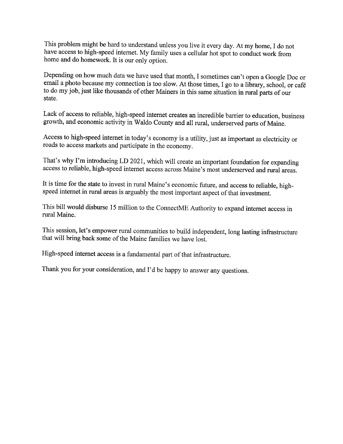This problem might be hard to understand unless you live it every day. At my home, I do not have access to high-speed internet. My family uses a cellular hot spot to conduct work from home and do homework. It is our only option.

Depending on how much data we have used that month, I sometimes can't open a Google Doc or email a photo because my connection is too slow. At those times, I go to a library, school, or café to do my job, just like thousands of other Mainers in this same situation in rural parts of our state.

Lack of access to reliable, high-speed internet creates an incredible barrier to education, business growth, and economic activity in Waldo County and all rural, underserved parts of Maine.

Access to high-speed internet in today's economy is a utility, just as important as electricity or roads to access markets and participate in the economy.

That's why I'm introducing LD 2021, which will create an important foundation for expanding access to reliable, high-speed internet access across Maine's most underserved and rural areas.

It is time for the state to invest in rural Maine's economic future, and access to reliable, highspeed internet in rural areas is arguably the most important aspect of that investment.

This bill would disburse 15 million to the ConnectME Authority to expand internet access in rural Maine.

This session, let's empower rural communities to build independent, long lasting infrastructure that will bring back some of the Maine families we have lost.

High-speed internet access is a fundamental part of that infrastructure.

Thank you for your consideration, and I'd be happy to answer any questions.